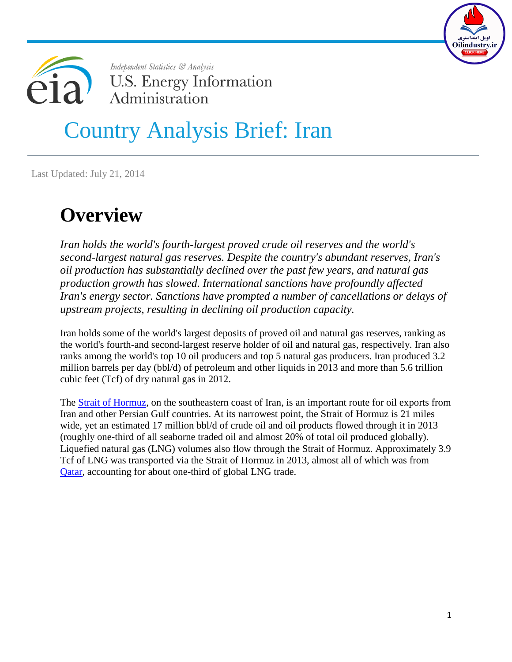



# Country Analysis Brief: Iran

Last Updated: July 21, 2014

## **Overview**

*Iran holds the world's fourth-largest proved crude oil reserves and the world's second-largest natural gas reserves. Despite the country's abundant reserves, Iran's oil production has substantially declined over the past few years, and natural gas production growth has slowed. International sanctions have profoundly affected Iran's energy sector. Sanctions have prompted a number of cancellations or delays of upstream projects, resulting in declining oil production capacity.* 

Iran holds some of the world's largest deposits of proved oil and natural gas reserves, ranking as the world's fourth-and second-largest reserve holder of oil and natural gas, respectively. Iran also ranks among the world's top 10 oil producers and top 5 natural gas producers. Iran produced 3.2 million barrels per day (bbl/d) of petroleum and other liquids in 2013 and more than 5.6 trillion cubic feet (Tcf) of dry natural gas in 2012.

The [Strait of Hormuz,](http://wwwdev.eia.gov/countries/regions-topics.cfm?fips=WOTC#hormuz) on the southeastern coast of Iran, is an important route for oil exports from Iran and other Persian Gulf countries. At its narrowest point, the Strait of Hormuz is 21 miles wide, yet an estimated 17 million bbl/d of crude oil and oil products flowed through it in 2013 (roughly one-third of all seaborne traded oil and almost 20% of total oil produced globally). Liquefied natural gas (LNG) volumes also flow through the Strait of Hormuz. Approximately 3.9 Tcf of LNG was transported via the Strait of Hormuz in 2013, almost all of which was from [Qatar,](http://wwwdev.eia.gov/countries/cab.cfm?fips=QA) accounting for about one-third of global LNG trade.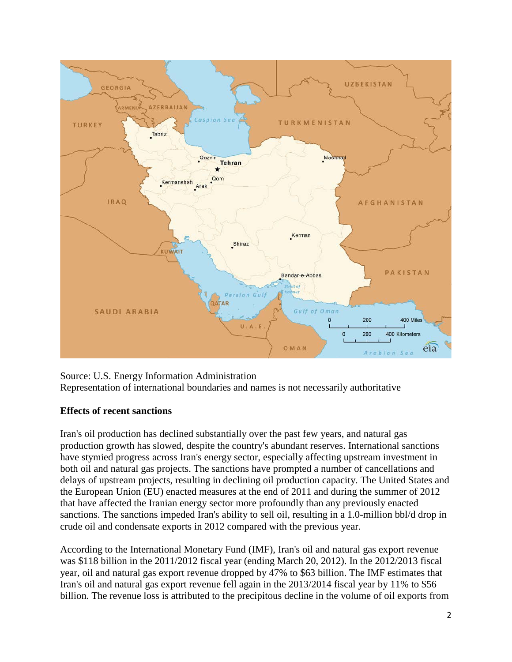

Source: U.S. Energy Information Administration Representation of international boundaries and names is not necessarily authoritative

#### **Effects of recent sanctions**

Iran's oil production has declined substantially over the past few years, and natural gas production growth has slowed, despite the country's abundant reserves. International sanctions have stymied progress across Iran's energy sector, especially affecting upstream investment in both oil and natural gas projects. The sanctions have prompted a number of cancellations and delays of upstream projects, resulting in declining oil production capacity. The United States and the European Union (EU) enacted measures at the end of 2011 and during the summer of 2012 that have affected the Iranian energy sector more profoundly than any previously enacted sanctions. The sanctions impeded Iran's ability to sell oil, resulting in a 1.0-million bbl/d drop in crude oil and condensate exports in 2012 compared with the previous year.

According to the International Monetary Fund (IMF), Iran's oil and natural gas export revenue was \$118 billion in the 2011/2012 fiscal year (ending March 20, 2012). In the 2012/2013 fiscal year, oil and natural gas export revenue dropped by 47% to \$63 billion. The IMF estimates that Iran's oil and natural gas export revenue fell again in the 2013/2014 fiscal year by 11% to \$56 billion. The revenue loss is attributed to the precipitous decline in the volume of oil exports from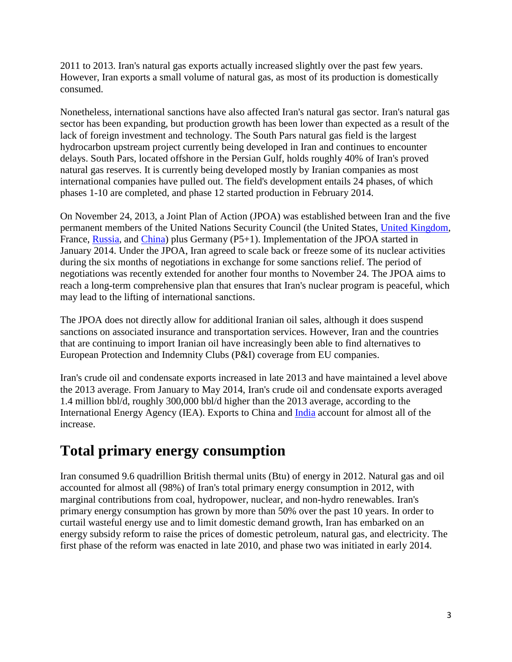2011 to 2013. Iran's natural gas exports actually increased slightly over the past few years. However, Iran exports a small volume of natural gas, as most of its production is domestically consumed.

Nonetheless, international sanctions have also affected Iran's natural gas sector. Iran's natural gas sector has been expanding, but production growth has been lower than expected as a result of the lack of foreign investment and technology. The South Pars natural gas field is the largest hydrocarbon upstream project currently being developed in Iran and continues to encounter delays. South Pars, located offshore in the Persian Gulf, holds roughly 40% of Iran's proved natural gas reserves. It is currently being developed mostly by Iranian companies as most international companies have pulled out. The field's development entails 24 phases, of which phases 1-10 are completed, and phase 12 started production in February 2014.

On November 24, 2013, a Joint Plan of Action (JPOA) was established between Iran and the five permanent members of the United Nations Security Council (the United States, [United Kingdom,](http://wwwdev.eia.gov/countries/cab.cfm?fips=UK) France, [Russia,](http://wwwdev.eia.gov/countries/cab.cfm?fips=RS) and [China\)](http://wwwdev.eia.gov/countries/cab.cfm?fips=CH) plus Germany (P5+1). Implementation of the JPOA started in January 2014. Under the JPOA, Iran agreed to scale back or freeze some of its nuclear activities during the six months of negotiations in exchange for some sanctions relief. The period of negotiations was recently extended for another four months to November 24. The JPOA aims to reach a long-term comprehensive plan that ensures that Iran's nuclear program is peaceful, which may lead to the lifting of international sanctions.

The JPOA does not directly allow for additional Iranian oil sales, although it does suspend sanctions on associated insurance and transportation services. However, Iran and the countries that are continuing to import Iranian oil have increasingly been able to find alternatives to European Protection and Indemnity Clubs (P&I) coverage from EU companies.

Iran's crude oil and condensate exports increased in late 2013 and have maintained a level above the 2013 average. From January to May 2014, Iran's crude oil and condensate exports averaged 1.4 million bbl/d, roughly 300,000 bbl/d higher than the 2013 average, according to the International Energy Agency (IEA). Exports to China and [India](http://wwwdev.eia.gov/countries/cab.cfm?fips=IN) account for almost all of the increase.

### **Total primary energy consumption**

Iran consumed 9.6 quadrillion British thermal units (Btu) of energy in 2012. Natural gas and oil accounted for almost all (98%) of Iran's total primary energy consumption in 2012, with marginal contributions from coal, hydropower, nuclear, and non-hydro renewables. Iran's primary energy consumption has grown by more than 50% over the past 10 years. In order to curtail wasteful energy use and to limit domestic demand growth, Iran has embarked on an energy subsidy reform to raise the prices of domestic petroleum, natural gas, and electricity. The first phase of the reform was enacted in late 2010, and phase two was initiated in early 2014.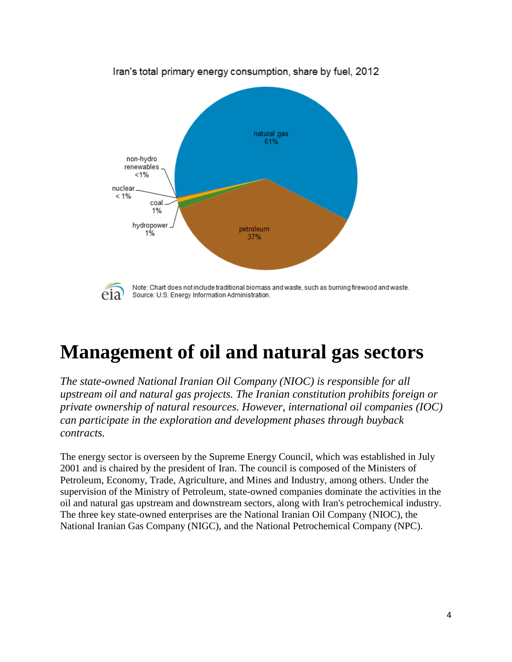

Iran's total primary energy consumption, share by fuel, 2012

## **Management of oil and natural gas sectors**

*The state-owned National Iranian Oil Company (NIOC) is responsible for all upstream oil and natural gas projects. The Iranian constitution prohibits foreign or private ownership of natural resources. However, international oil companies (IOC) can participate in the exploration and development phases through buyback contracts.*

The energy sector is overseen by the Supreme Energy Council, which was established in July 2001 and is chaired by the president of Iran. The council is composed of the Ministers of Petroleum, Economy, Trade, Agriculture, and Mines and Industry, among others. Under the supervision of the Ministry of Petroleum, state-owned companies dominate the activities in the oil and natural gas upstream and downstream sectors, along with Iran's petrochemical industry. The three key state-owned enterprises are the National Iranian Oil Company (NIOC), the National Iranian Gas Company (NIGC), and the National Petrochemical Company (NPC).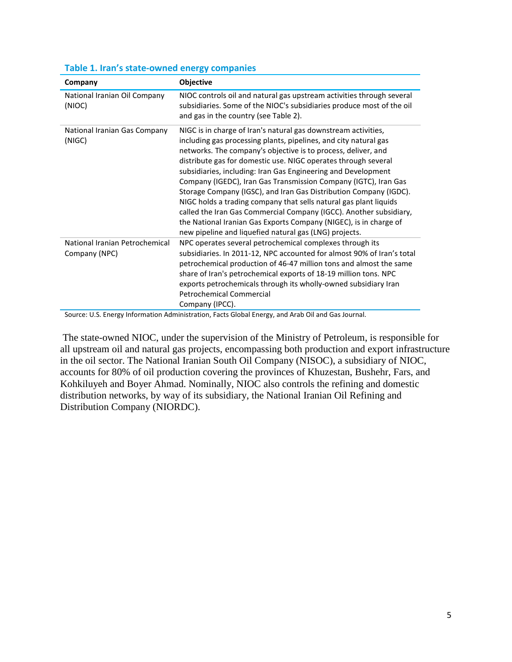| Company                                         | <b>Objective</b>                                                                                                                                                                                                                                                                                                                                                                                                                                                                                                                                                                                                                                                                                                                                         |
|-------------------------------------------------|----------------------------------------------------------------------------------------------------------------------------------------------------------------------------------------------------------------------------------------------------------------------------------------------------------------------------------------------------------------------------------------------------------------------------------------------------------------------------------------------------------------------------------------------------------------------------------------------------------------------------------------------------------------------------------------------------------------------------------------------------------|
| National Iranian Oil Company<br>(NIOC)          | NIOC controls oil and natural gas upstream activities through several<br>subsidiaries. Some of the NIOC's subsidiaries produce most of the oil<br>and gas in the country (see Table 2).                                                                                                                                                                                                                                                                                                                                                                                                                                                                                                                                                                  |
| National Iranian Gas Company<br>(NIGC)          | NIGC is in charge of Iran's natural gas downstream activities,<br>including gas processing plants, pipelines, and city natural gas<br>networks. The company's objective is to process, deliver, and<br>distribute gas for domestic use. NIGC operates through several<br>subsidiaries, including: Iran Gas Engineering and Development<br>Company (IGEDC), Iran Gas Transmission Company (IGTC), Iran Gas<br>Storage Company (IGSC), and Iran Gas Distribution Company (IGDC).<br>NIGC holds a trading company that sells natural gas plant liquids<br>called the Iran Gas Commercial Company (IGCC). Another subsidiary,<br>the National Iranian Gas Exports Company (NIGEC), is in charge of<br>new pipeline and liquefied natural gas (LNG) projects. |
| National Iranian Petrochemical<br>Company (NPC) | NPC operates several petrochemical complexes through its<br>subsidiaries. In 2011-12, NPC accounted for almost 90% of Iran's total<br>petrochemical production of 46-47 million tons and almost the same<br>share of Iran's petrochemical exports of 18-19 million tons. NPC<br>exports petrochemicals through its wholly-owned subsidiary Iran<br><b>Petrochemical Commercial</b><br>Company (IPCC).                                                                                                                                                                                                                                                                                                                                                    |

#### **Table 1. Iran's state-owned energy companies**

Source: U.S. Energy Information Administration, Facts Global Energy, and Arab Oil and Gas Journal.

The state-owned NIOC, under the supervision of the Ministry of Petroleum, is responsible for all upstream oil and natural gas projects, encompassing both production and export infrastructure in the oil sector. The National Iranian South Oil Company (NISOC), a subsidiary of NIOC, accounts for 80% of oil production covering the provinces of Khuzestan, Bushehr, Fars, and Kohkiluyeh and Boyer Ahmad. Nominally, NIOC also controls the refining and domestic distribution networks, by way of its subsidiary, the National Iranian Oil Refining and Distribution Company (NIORDC).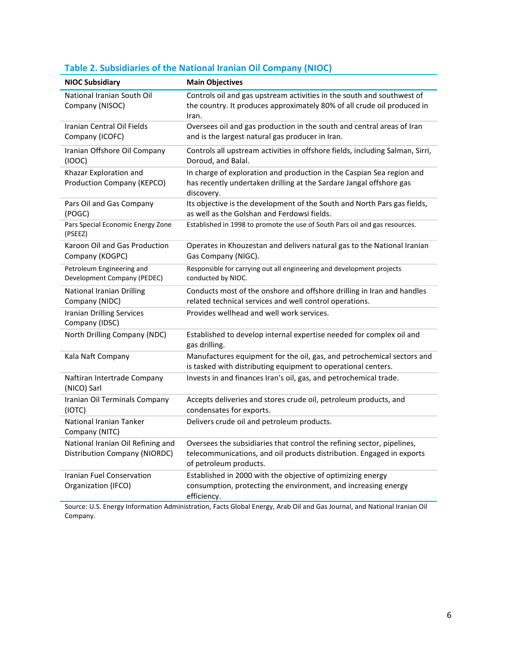| <b>NIOC Subsidiary</b>                                             | <b>Main Objectives</b>                                                                                                                                                    |
|--------------------------------------------------------------------|---------------------------------------------------------------------------------------------------------------------------------------------------------------------------|
| National Iranian South Oil<br>Company (NISOC)                      | Controls oil and gas upstream activities in the south and southwest of<br>the country. It produces approximately 80% of all crude oil produced in<br>Iran.                |
| Iranian Central Oil Fields<br>Company (ICOFC)                      | Oversees oil and gas production in the south and central areas of Iran<br>and is the largest natural gas producer in Iran.                                                |
| Iranian Offshore Oil Company<br>(IOOC)                             | Controls all upstream activities in offshore fields, including Salman, Sirri,<br>Doroud, and Balal.                                                                       |
| Khazar Exploration and<br>Production Company (KEPCO)               | In charge of exploration and production in the Caspian Sea region and<br>has recently undertaken drilling at the Sardare Jangal offshore gas<br>discovery.                |
| Pars Oil and Gas Company<br>(POGC)                                 | Its objective is the development of the South and North Pars gas fields,<br>as well as the Golshan and Ferdowsi fields.                                                   |
| Pars Special Economic Energy Zone<br>(PSEEZ)                       | Established in 1998 to promote the use of South Pars oil and gas resources.                                                                                               |
| Karoon Oil and Gas Production<br>Company (KOGPC)                   | Operates in Khouzestan and delivers natural gas to the National Iranian<br>Gas Company (NIGC).                                                                            |
| Petroleum Engineering and<br>Development Company (PEDEC)           | Responsible for carrying out all engineering and development projects<br>conducted by NIOC.                                                                               |
| <b>National Iranian Drilling</b><br>Company (NIDC)                 | Conducts most of the onshore and offshore drilling in Iran and handles<br>related technical services and well control operations.                                         |
| <b>Iranian Drilling Services</b><br>Company (IDSC)                 | Provides wellhead and well work services.                                                                                                                                 |
| North Drilling Company (NDC)                                       | Established to develop internal expertise needed for complex oil and<br>gas drilling.                                                                                     |
| Kala Naft Company                                                  | Manufactures equipment for the oil, gas, and petrochemical sectors and<br>is tasked with distributing equipment to operational centers.                                   |
| Naftiran Intertrade Company<br>(NICO) Sarl                         | Invests in and finances Iran's oil, gas, and petrochemical trade.                                                                                                         |
| Iranian Oil Terminals Company<br>(IOTC)                            | Accepts deliveries and stores crude oil, petroleum products, and<br>condensates for exports.                                                                              |
| National Iranian Tanker<br>Company (NITC)                          | Delivers crude oil and petroleum products.                                                                                                                                |
| National Iranian Oil Refining and<br>Distribution Company (NIORDC) | Oversees the subsidiaries that control the refining sector, pipelines,<br>telecommunications, and oil products distribution. Engaged in exports<br>of petroleum products. |
| <b>Iranian Fuel Conservation</b><br>Organization (IFCO)            | Established in 2000 with the objective of optimizing energy<br>consumption, protecting the environment, and increasing energy<br>efficiency.                              |

### **Table 2. Subsidiaries of the National Iranian Oil Company (NIOC)**

Source: U.S. Energy Information Administration, Facts Global Energy, Arab Oil and Gas Journal, and National Iranian Oil Company.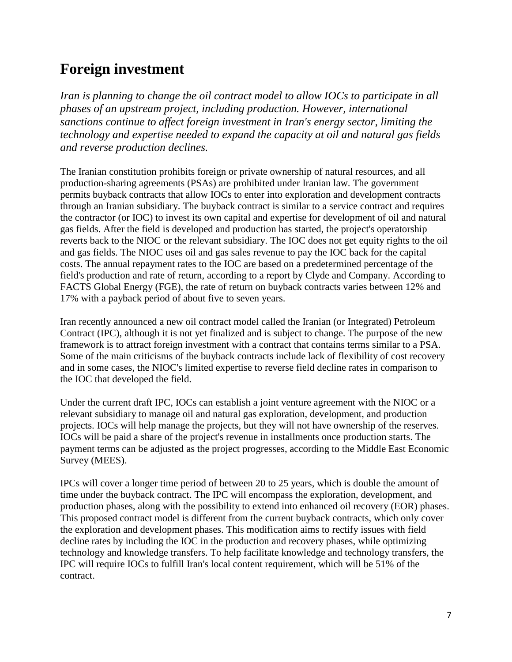### **Foreign investment**

*Iran is planning to change the oil contract model to allow IOCs to participate in all phases of an upstream project, including production. However, international sanctions continue to affect foreign investment in Iran's energy sector, limiting the technology and expertise needed to expand the capacity at oil and natural gas fields and reverse production declines.*

The Iranian constitution prohibits foreign or private ownership of natural resources, and all production-sharing agreements (PSAs) are prohibited under Iranian law. The government permits buyback contracts that allow IOCs to enter into exploration and development contracts through an Iranian subsidiary. The buyback contract is similar to a service contract and requires the contractor (or IOC) to invest its own capital and expertise for development of oil and natural gas fields. After the field is developed and production has started, the project's operatorship reverts back to the NIOC or the relevant subsidiary. The IOC does not get equity rights to the oil and gas fields. The NIOC uses oil and gas sales revenue to pay the IOC back for the capital costs. The annual repayment rates to the IOC are based on a predetermined percentage of the field's production and rate of return, according to a report by Clyde and Company. According to FACTS Global Energy (FGE), the rate of return on buyback contracts varies between 12% and 17% with a payback period of about five to seven years.

Iran recently announced a new oil contract model called the Iranian (or Integrated) Petroleum Contract (IPC), although it is not yet finalized and is subject to change. The purpose of the new framework is to attract foreign investment with a contract that contains terms similar to a PSA. Some of the main criticisms of the buyback contracts include lack of flexibility of cost recovery and in some cases, the NIOC's limited expertise to reverse field decline rates in comparison to the IOC that developed the field.

Under the current draft IPC, IOCs can establish a joint venture agreement with the NIOC or a relevant subsidiary to manage oil and natural gas exploration, development, and production projects. IOCs will help manage the projects, but they will not have ownership of the reserves. IOCs will be paid a share of the project's revenue in installments once production starts. The payment terms can be adjusted as the project progresses, according to the Middle East Economic Survey (MEES).

IPCs will cover a longer time period of between 20 to 25 years, which is double the amount of time under the buyback contract. The IPC will encompass the exploration, development, and production phases, along with the possibility to extend into enhanced oil recovery (EOR) phases. This proposed contract model is different from the current buyback contracts, which only cover the exploration and development phases. This modification aims to rectify issues with field decline rates by including the IOC in the production and recovery phases, while optimizing technology and knowledge transfers. To help facilitate knowledge and technology transfers, the IPC will require IOCs to fulfill Iran's local content requirement, which will be 51% of the contract.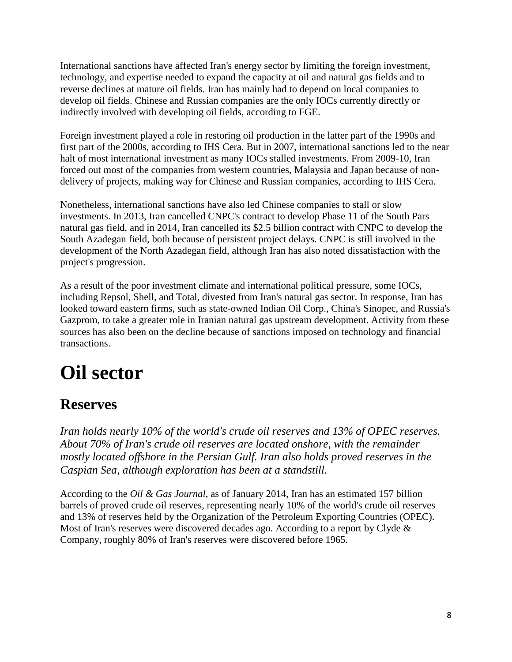International sanctions have affected Iran's energy sector by limiting the foreign investment, technology, and expertise needed to expand the capacity at oil and natural gas fields and to reverse declines at mature oil fields. Iran has mainly had to depend on local companies to develop oil fields. Chinese and Russian companies are the only IOCs currently directly or indirectly involved with developing oil fields, according to FGE.

Foreign investment played a role in restoring oil production in the latter part of the 1990s and first part of the 2000s, according to IHS Cera. But in 2007, international sanctions led to the near halt of most international investment as many IOCs stalled investments. From 2009-10, Iran forced out most of the companies from western countries, Malaysia and Japan because of nondelivery of projects, making way for Chinese and Russian companies, according to IHS Cera.

Nonetheless, international sanctions have also led Chinese companies to stall or slow investments. In 2013, Iran cancelled CNPC's contract to develop Phase 11 of the South Pars natural gas field, and in 2014, Iran cancelled its \$2.5 billion contract with CNPC to develop the South Azadegan field, both because of persistent project delays. CNPC is still involved in the development of the North Azadegan field, although Iran has also noted dissatisfaction with the project's progression.

As a result of the poor investment climate and international political pressure, some IOCs, including Repsol, Shell, and Total, divested from Iran's natural gas sector. In response, Iran has looked toward eastern firms, such as state-owned Indian Oil Corp., China's Sinopec, and Russia's Gazprom, to take a greater role in Iranian natural gas upstream development. Activity from these sources has also been on the decline because of sanctions imposed on technology and financial transactions.

# **Oil sector**

### **Reserves**

*Iran holds nearly 10% of the world's crude oil reserves and 13% of OPEC reserves. About 70% of Iran's crude oil reserves are located onshore, with the remainder mostly located offshore in the Persian Gulf. Iran also holds proved reserves in the Caspian Sea, although exploration has been at a standstill.*

According to the *Oil & Gas Journal*, as of January 2014, Iran has an estimated 157 billion barrels of proved crude oil reserves, representing nearly 10% of the world's crude oil reserves and 13% of reserves held by the Organization of the Petroleum Exporting Countries (OPEC). Most of Iran's reserves were discovered decades ago. According to a report by Clyde & Company, roughly 80% of Iran's reserves were discovered before 1965.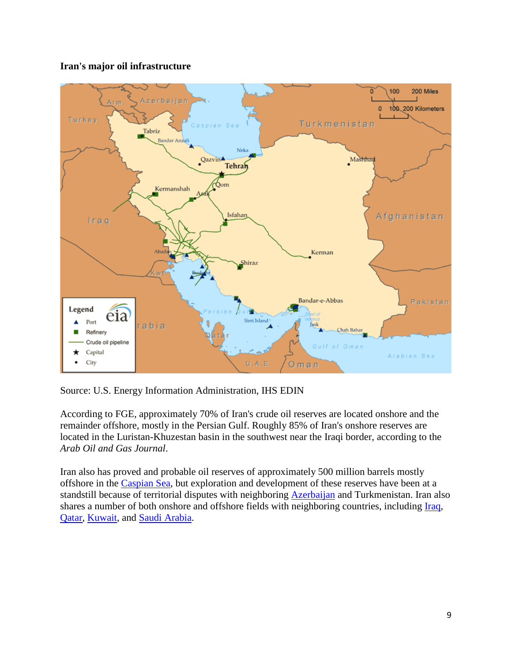

#### **Iran's major oil infrastructure**

Source: U.S. Energy Information Administration, IHS EDIN

According to FGE, approximately 70% of Iran's crude oil reserves are located onshore and the remainder offshore, mostly in the Persian Gulf. Roughly 85% of Iran's onshore reserves are located in the Luristan-Khuzestan basin in the southwest near the Iraqi border, according to the *Arab Oil and Gas Journal*.

Iran also has proved and probable oil reserves of approximately 500 million barrels mostly offshore in the [Caspian Sea,](http://wwwdev.eia.gov/countries/regions-topics.cfm?fips=CSR) but exploration and development of these reserves have been at a standstill because of territorial disputes with neighboring **Azerbaijan** and Turkmenistan. Iran also shares a number of both onshore and offshore fields with neighboring countries, including *Iraq*, [Qatar,](http://wwwdev.eia.gov/countries/cab.cfm?fips=QA) [Kuwait,](http://wwwdev.eia.gov/countries/cab.cfm?fips=KU) and [Saudi Arabia.](http://wwwdev.eia.gov/countries/cab.cfm?fips=SA)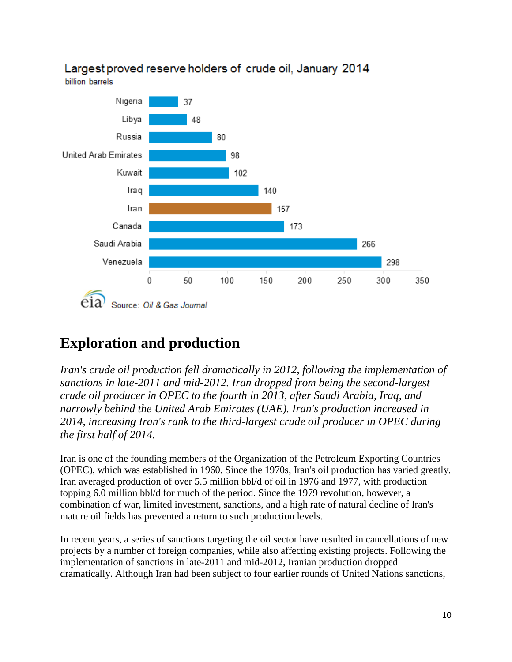

### Largest proved reserve holders of crude oil, January 2014

### **Exploration and production**

*Iran's crude oil production fell dramatically in 2012, following the implementation of sanctions in late-2011 and mid-2012. Iran dropped from being the second-largest crude oil producer in OPEC to the fourth in 2013, after Saudi Arabia, Iraq, and narrowly behind the United Arab Emirates (UAE). Iran's production increased in 2014, increasing Iran's rank to the third-largest crude oil producer in OPEC during the first half of 2014.*

Iran is one of the founding members of the Organization of the Petroleum Exporting Countries (OPEC), which was established in 1960. Since the 1970s, Iran's oil production has varied greatly. Iran averaged production of over 5.5 million bbl/d of oil in 1976 and 1977, with production topping 6.0 million bbl/d for much of the period. Since the 1979 revolution, however, a combination of war, limited investment, sanctions, and a high rate of natural decline of Iran's mature oil fields has prevented a return to such production levels.

In recent years, a series of sanctions targeting the oil sector have resulted in cancellations of new projects by a number of foreign companies, while also affecting existing projects. Following the implementation of sanctions in late-2011 and mid-2012, Iranian production dropped dramatically. Although Iran had been subject to four earlier rounds of United Nations sanctions,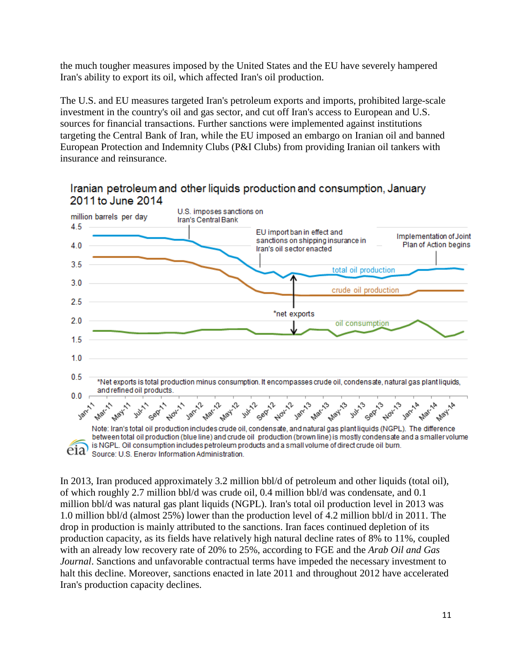the much tougher measures imposed by the United States and the EU have severely hampered Iran's ability to export its oil, which affected Iran's oil production.

The U.S. and EU measures targeted Iran's petroleum exports and imports, prohibited large-scale investment in the country's oil and gas sector, and cut off Iran's access to European and U.S. sources for financial transactions. Further sanctions were implemented against institutions targeting the Central Bank of Iran, while the EU imposed an embargo on Iranian oil and banned European Protection and Indemnity Clubs (P&I Clubs) from providing Iranian oil tankers with insurance and reinsurance.



Iranian petroleum and other liquids production and consumption, January 2011 to June 2014

In 2013, Iran produced approximately 3.2 million bbl/d of petroleum and other liquids (total oil), of which roughly 2.7 million bbl/d was crude oil, 0.4 million bbl/d was condensate, and 0.1 million bbl/d was natural gas plant liquids (NGPL). Iran's total oil production level in 2013 was 1.0 million bbl/d (almost 25%) lower than the production level of 4.2 million bbl/d in 2011. The drop in production is mainly attributed to the sanctions. Iran faces continued depletion of its production capacity, as its fields have relatively high natural decline rates of 8% to 11%, coupled with an already low recovery rate of 20% to 25%, according to FGE and the *Arab Oil and Gas Journal*. Sanctions and unfavorable contractual terms have impeded the necessary investment to halt this decline. Moreover, sanctions enacted in late 2011 and throughout 2012 have accelerated Iran's production capacity declines.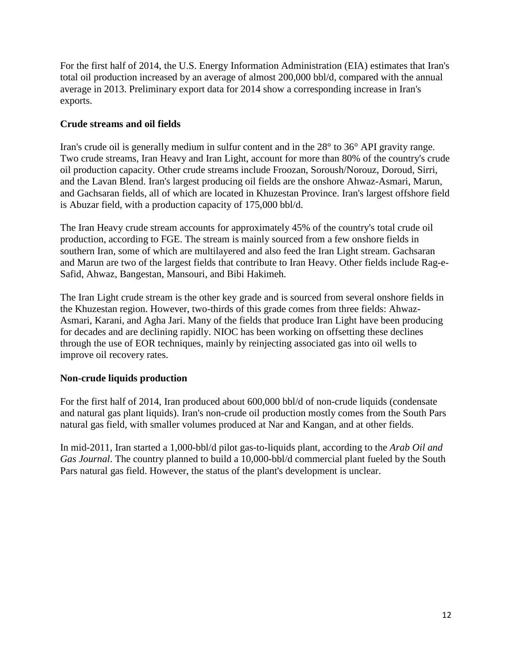For the first half of 2014, the U.S. Energy Information Administration (EIA) estimates that Iran's total oil production increased by an average of almost 200,000 bbl/d, compared with the annual average in 2013. Preliminary export data for 2014 show a corresponding increase in Iran's exports.

#### **Crude streams and oil fields**

Iran's crude oil is generally medium in sulfur content and in the 28° to 36° API gravity range. Two crude streams, Iran Heavy and Iran Light, account for more than 80% of the country's crude oil production capacity. Other crude streams include Froozan, Soroush/Norouz, Doroud, Sirri, and the Lavan Blend. Iran's largest producing oil fields are the onshore Ahwaz-Asmari, Marun, and Gachsaran fields, all of which are located in Khuzestan Province. Iran's largest offshore field is Abuzar field, with a production capacity of 175,000 bbl/d.

The Iran Heavy crude stream accounts for approximately 45% of the country's total crude oil production, according to FGE. The stream is mainly sourced from a few onshore fields in southern Iran, some of which are multilayered and also feed the Iran Light stream. Gachsaran and Marun are two of the largest fields that contribute to Iran Heavy. Other fields include Rag-e-Safid, Ahwaz, Bangestan, Mansouri, and Bibi Hakimeh.

The Iran Light crude stream is the other key grade and is sourced from several onshore fields in the Khuzestan region. However, two-thirds of this grade comes from three fields: Ahwaz-Asmari, Karani, and Agha Jari. Many of the fields that produce Iran Light have been producing for decades and are declining rapidly. NIOC has been working on offsetting these declines through the use of EOR techniques, mainly by reinjecting associated gas into oil wells to improve oil recovery rates.

#### **Non-crude liquids production**

For the first half of 2014, Iran produced about 600,000 bbl/d of non-crude liquids (condensate and natural gas plant liquids). Iran's non-crude oil production mostly comes from the South Pars natural gas field, with smaller volumes produced at Nar and Kangan, and at other fields.

In mid-2011, Iran started a 1,000-bbl/d pilot gas-to-liquids plant, according to the *Arab Oil and Gas Journal*. The country planned to build a 10,000-bbl/d commercial plant fueled by the South Pars natural gas field. However, the status of the plant's development is unclear.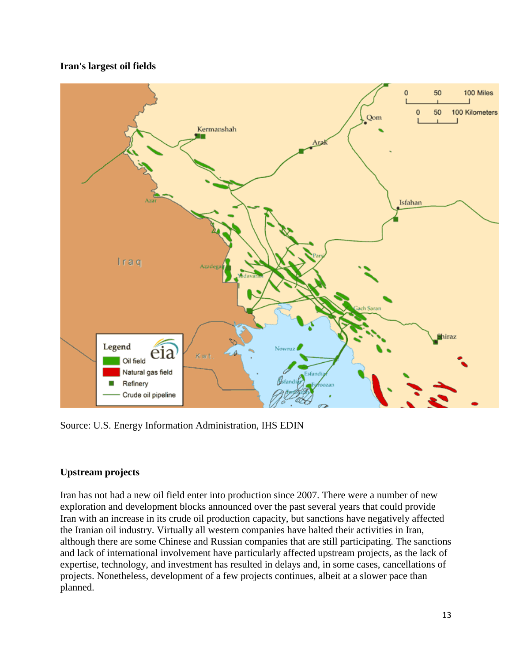#### **Iran's largest oil fields**



Source: U.S. Energy Information Administration, IHS EDIN

#### **Upstream projects**

Iran has not had a new oil field enter into production since 2007. There were a number of new exploration and development blocks announced over the past several years that could provide Iran with an increase in its crude oil production capacity, but sanctions have negatively affected the Iranian oil industry. Virtually all western companies have halted their activities in Iran, although there are some Chinese and Russian companies that are still participating. The sanctions and lack of international involvement have particularly affected upstream projects, as the lack of expertise, technology, and investment has resulted in delays and, in some cases, cancellations of projects. Nonetheless, development of a few projects continues, albeit at a slower pace than planned.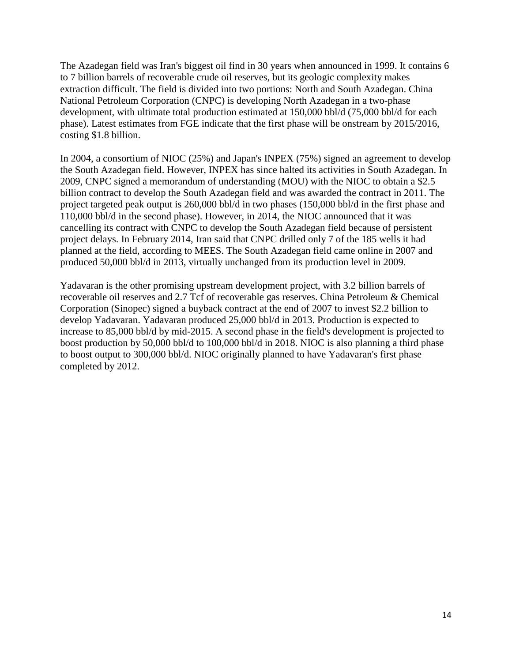The Azadegan field was Iran's biggest oil find in 30 years when announced in 1999. It contains 6 to 7 billion barrels of recoverable crude oil reserves, but its geologic complexity makes extraction difficult. The field is divided into two portions: North and South Azadegan. China National Petroleum Corporation (CNPC) is developing North Azadegan in a two-phase development, with ultimate total production estimated at 150,000 bbl/d (75,000 bbl/d for each phase). Latest estimates from FGE indicate that the first phase will be onstream by 2015/2016, costing \$1.8 billion.

In 2004, a consortium of NIOC (25%) and Japan's INPEX (75%) signed an agreement to develop the South Azadegan field. However, INPEX has since halted its activities in South Azadegan. In 2009, CNPC signed a memorandum of understanding (MOU) with the NIOC to obtain a \$2.5 billion contract to develop the South Azadegan field and was awarded the contract in 2011. The project targeted peak output is 260,000 bbl/d in two phases (150,000 bbl/d in the first phase and 110,000 bbl/d in the second phase). However, in 2014, the NIOC announced that it was cancelling its contract with CNPC to develop the South Azadegan field because of persistent project delays. In February 2014, Iran said that CNPC drilled only 7 of the 185 wells it had planned at the field, according to MEES. The South Azadegan field came online in 2007 and produced 50,000 bbl/d in 2013, virtually unchanged from its production level in 2009.

Yadavaran is the other promising upstream development project, with 3.2 billion barrels of recoverable oil reserves and 2.7 Tcf of recoverable gas reserves. China Petroleum & Chemical Corporation (Sinopec) signed a buyback contract at the end of 2007 to invest \$2.2 billion to develop Yadavaran. Yadavaran produced 25,000 bbl/d in 2013. Production is expected to increase to 85,000 bbl/d by mid-2015. A second phase in the field's development is projected to boost production by 50,000 bbl/d to 100,000 bbl/d in 2018. NIOC is also planning a third phase to boost output to 300,000 bbl/d. NIOC originally planned to have Yadavaran's first phase completed by 2012.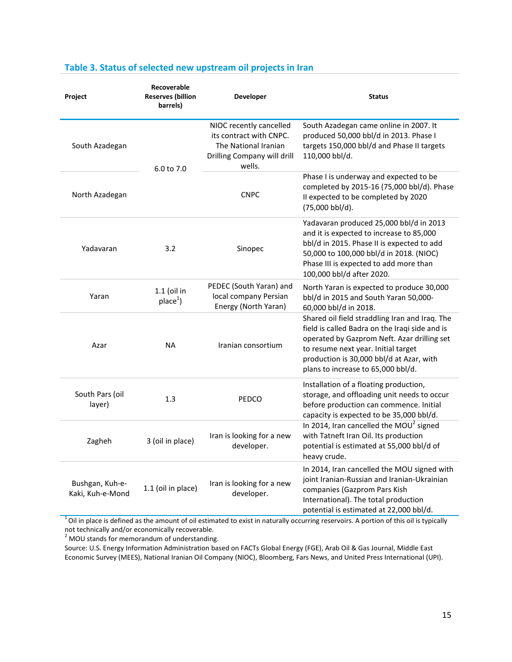| Project                             | Recoverable<br><b>Reserves (billion</b><br>barrels) | <b>Developer</b>                                                                                                    | <b>Status</b>                                                                                                                                                                                                                                                            |
|-------------------------------------|-----------------------------------------------------|---------------------------------------------------------------------------------------------------------------------|--------------------------------------------------------------------------------------------------------------------------------------------------------------------------------------------------------------------------------------------------------------------------|
| South Azadegan                      | 6.0 to 7.0                                          | NIOC recently cancelled<br>its contract with CNPC.<br>The National Iranian<br>Drilling Company will drill<br>wells. | South Azadegan came online in 2007. It<br>produced 50,000 bbl/d in 2013. Phase I<br>targets 150,000 bbl/d and Phase II targets<br>110,000 bbl/d.                                                                                                                         |
| North Azadegan                      |                                                     | <b>CNPC</b>                                                                                                         | Phase I is underway and expected to be<br>completed by 2015-16 (75,000 bbl/d). Phase<br>Il expected to be completed by 2020<br>(75,000 bbl/d).                                                                                                                           |
| Yadavaran                           | 3.2                                                 | Sinopec                                                                                                             | Yadavaran produced 25,000 bbl/d in 2013<br>and it is expected to increase to 85,000<br>bbl/d in 2015. Phase II is expected to add<br>50,000 to 100,000 bbl/d in 2018. (NIOC)<br>Phase III is expected to add more than<br>100,000 bbl/d after 2020.                      |
| Yaran                               | $1.1$ (oil in<br>place <sup>1</sup>                 | PEDEC (South Yaran) and<br>local company Persian<br>Energy (North Yaran)                                            | North Yaran is expected to produce 30,000<br>bbl/d in 2015 and South Yaran 50,000-<br>60,000 bbl/d in 2018.                                                                                                                                                              |
| Azar                                | <b>NA</b>                                           | Iranian consortium                                                                                                  | Shared oil field straddling Iran and Iraq. The<br>field is called Badra on the Iraqi side and is<br>operated by Gazprom Neft. Azar drilling set<br>to resume next year. Initial target<br>production is 30,000 bbl/d at Azar, with<br>plans to increase to 65,000 bbl/d. |
| South Pars (oil<br>layer)           | 1.3                                                 | PEDCO                                                                                                               | Installation of a floating production,<br>storage, and offloading unit needs to occur<br>before production can commence. Initial<br>capacity is expected to be 35,000 bbl/d.                                                                                             |
| Zagheh                              | 3 (oil in place)                                    | Iran is looking for a new<br>developer.                                                                             | In 2014, Iran cancelled the MOU <sup>2</sup> signed<br>with Tatneft Iran Oil. Its production<br>potential is estimated at 55,000 bbl/d of<br>heavy crude.                                                                                                                |
| Bushgan, Kuh-e-<br>Kaki, Kuh-e-Mond | 1.1 (oil in place)                                  | Iran is looking for a new<br>developer.                                                                             | In 2014, Iran cancelled the MOU signed with<br>joint Iranian-Russian and Iranian-Ukrainian<br>companies (Gazprom Pars Kish<br>International). The total production<br>potential is estimated at 22,000 bbl/d.                                                            |

#### **Table 3. Status of selected new upstream oil projects in Iran**

 $1$  Oil in place is defined as the amount of oil estimated to exist in naturally occurring reservoirs. A portion of this oil is typically not technically and/or economically recoverable.

 $2$  MOU stands for memorandum of understanding.

Source: U.S. Energy Information Administration based on FACTs Global Energy (FGE), Arab Oil & Gas Journal, Middle East Economic Survey (MEES), National Iranian Oil Company (NIOC), Bloomberg, Fars News, and United Press International (UPI).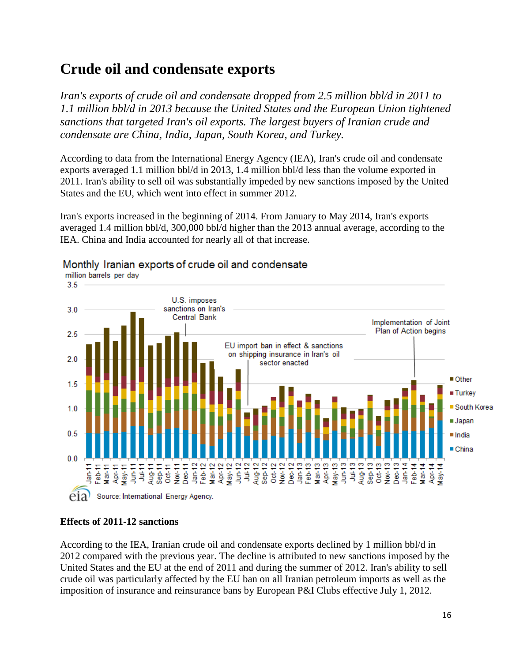### **Crude oil and condensate exports**

*Iran's exports of crude oil and condensate dropped from 2.5 million bbl/d in 2011 to 1.1 million bbl/d in 2013 because the United States and the European Union tightened sanctions that targeted Iran's oil exports. The largest buyers of Iranian crude and condensate are China, India, Japan, South Korea, and Turkey.*

According to data from the International Energy Agency (IEA), Iran's crude oil and condensate exports averaged 1.1 million bbl/d in 2013, 1.4 million bbl/d less than the volume exported in 2011. Iran's ability to sell oil was substantially impeded by new sanctions imposed by the United States and the EU, which went into effect in summer 2012.

Iran's exports increased in the beginning of 2014. From January to May 2014, Iran's exports averaged 1.4 million bbl/d, 300,000 bbl/d higher than the 2013 annual average, according to the IEA. China and India accounted for nearly all of that increase.



### Monthly Iranian exports of crude oil and condensate

#### **Effects of 2011-12 sanctions**

According to the IEA, Iranian crude oil and condensate exports declined by 1 million bbl/d in 2012 compared with the previous year. The decline is attributed to new sanctions imposed by the United States and the EU at the end of 2011 and during the summer of 2012. Iran's ability to sell crude oil was particularly affected by the EU ban on all Iranian petroleum imports as well as the imposition of insurance and reinsurance bans by European P&I Clubs effective July 1, 2012.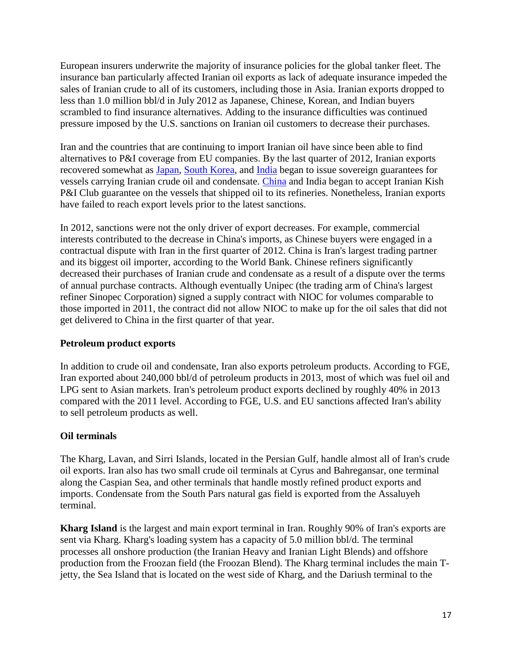European insurers underwrite the majority of insurance policies for the global tanker fleet. The insurance ban particularly affected Iranian oil exports as lack of adequate insurance impeded the sales of Iranian crude to all of its customers, including those in Asia. Iranian exports dropped to less than 1.0 million bbl/d in July 2012 as Japanese, Chinese, Korean, and Indian buyers scrambled to find insurance alternatives. Adding to the insurance difficulties was continued pressure imposed by the U.S. sanctions on Iranian oil customers to decrease their purchases.

Iran and the countries that are continuing to import Iranian oil have since been able to find alternatives to P&I coverage from EU companies. By the last quarter of 2012, Iranian exports recovered somewhat as [Japan,](http://wwwdev.eia.gov/countries/cab.cfm?fips=JA) [South Korea,](http://wwwdev.eia.gov/countries/cab.cfm?fips=KS) and [India](http://wwwdev.eia.gov/countries/cab.cfm?fips=IN) began to issue sovereign guarantees for vessels carrying Iranian crude oil and condensate. [China](http://wwwdev.eia.gov/countries/cab.cfm?fips=CH) and India began to accept Iranian Kish P&I Club guarantee on the vessels that shipped oil to its refineries. Nonetheless, Iranian exports have failed to reach export levels prior to the latest sanctions.

In 2012, sanctions were not the only driver of export decreases. For example, commercial interests contributed to the decrease in China's imports, as Chinese buyers were engaged in a contractual dispute with Iran in the first quarter of 2012. China is Iran's largest trading partner and its biggest oil importer, according to the World Bank. Chinese refiners significantly decreased their purchases of Iranian crude and condensate as a result of a dispute over the terms of annual purchase contracts. Although eventually Unipec (the trading arm of China's largest refiner Sinopec Corporation) signed a supply contract with NIOC for volumes comparable to those imported in 2011, the contract did not allow NIOC to make up for the oil sales that did not get delivered to China in the first quarter of that year.

#### **Petroleum product exports**

In addition to crude oil and condensate, Iran also exports petroleum products. According to FGE, Iran exported about 240,000 bbl/d of petroleum products in 2013, most of which was fuel oil and LPG sent to Asian markets. Iran's petroleum product exports declined by roughly 40% in 2013 compared with the 2011 level. According to FGE, U.S. and EU sanctions affected Iran's ability to sell petroleum products as well.

#### **Oil terminals**

The Kharg, Lavan, and Sirri Islands, located in the Persian Gulf, handle almost all of Iran's crude oil exports. Iran also has two small crude oil terminals at Cyrus and Bahregansar, one terminal along the Caspian Sea, and other terminals that handle mostly refined product exports and imports. Condensate from the South Pars natural gas field is exported from the Assaluyeh terminal.

**Kharg Island** is the largest and main export terminal in Iran. Roughly 90% of Iran's exports are sent via Kharg. Kharg's loading system has a capacity of 5.0 million bbl/d. The terminal processes all onshore production (the Iranian Heavy and Iranian Light Blends) and offshore production from the Froozan field (the Froozan Blend). The Kharg terminal includes the main Tjetty, the Sea Island that is located on the west side of Kharg, and the Dariush terminal to the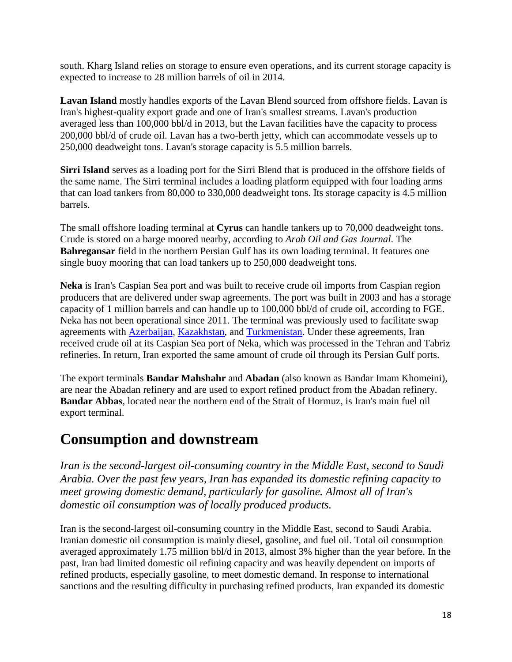south. Kharg Island relies on storage to ensure even operations, and its current storage capacity is expected to increase to 28 million barrels of oil in 2014.

**Lavan Island** mostly handles exports of the Lavan Blend sourced from offshore fields. Lavan is Iran's highest-quality export grade and one of Iran's smallest streams. Lavan's production averaged less than 100,000 bbl/d in 2013, but the Lavan facilities have the capacity to process 200,000 bbl/d of crude oil. Lavan has a two-berth jetty, which can accommodate vessels up to 250,000 deadweight tons. Lavan's storage capacity is 5.5 million barrels.

**Sirri Island** serves as a loading port for the Sirri Blend that is produced in the offshore fields of the same name. The Sirri terminal includes a loading platform equipped with four loading arms that can load tankers from 80,000 to 330,000 deadweight tons. Its storage capacity is 4.5 million barrels.

The small offshore loading terminal at **Cyrus** can handle tankers up to 70,000 deadweight tons. Crude is stored on a barge moored nearby, according to *Arab Oil and Gas Journal*. The **Bahregansar** field in the northern Persian Gulf has its own loading terminal. It features one single buoy mooring that can load tankers up to 250,000 deadweight tons.

**Neka** is Iran's Caspian Sea port and was built to receive crude oil imports from Caspian region producers that are delivered under swap agreements. The port was built in 2003 and has a storage capacity of 1 million barrels and can handle up to 100,000 bbl/d of crude oil, according to FGE. Neka has not been operational since 2011. The terminal was previously used to facilitate swap agreements with [Azerbaijan,](http://wwwdev.eia.gov/countries/cab.cfm?fips=AJ) [Kazakhstan,](http://wwwdev.eia.gov/countries/cab.cfm?fips=KZ) and [Turkmenistan.](http://wwwdev.eia.gov/countries/cab.cfm?fips=TX) Under these agreements, Iran received crude oil at its Caspian Sea port of Neka, which was processed in the Tehran and Tabriz refineries. In return, Iran exported the same amount of crude oil through its Persian Gulf ports.

The export terminals **Bandar Mahshahr** and **Abadan** (also known as Bandar Imam Khomeini), are near the Abadan refinery and are used to export refined product from the Abadan refinery. **Bandar Abbas**, located near the northern end of the Strait of Hormuz, is Iran's main fuel oil export terminal.

### **Consumption and downstream**

*Iran is the second-largest oil-consuming country in the Middle East, second to Saudi Arabia. Over the past few years, Iran has expanded its domestic refining capacity to meet growing domestic demand, particularly for gasoline. Almost all of Iran's domestic oil consumption was of locally produced products.*

Iran is the second-largest oil-consuming country in the Middle East, second to Saudi Arabia. Iranian domestic oil consumption is mainly diesel, gasoline, and fuel oil. Total oil consumption averaged approximately 1.75 million bbl/d in 2013, almost 3% higher than the year before. In the past, Iran had limited domestic oil refining capacity and was heavily dependent on imports of refined products, especially gasoline, to meet domestic demand. In response to international sanctions and the resulting difficulty in purchasing refined products, Iran expanded its domestic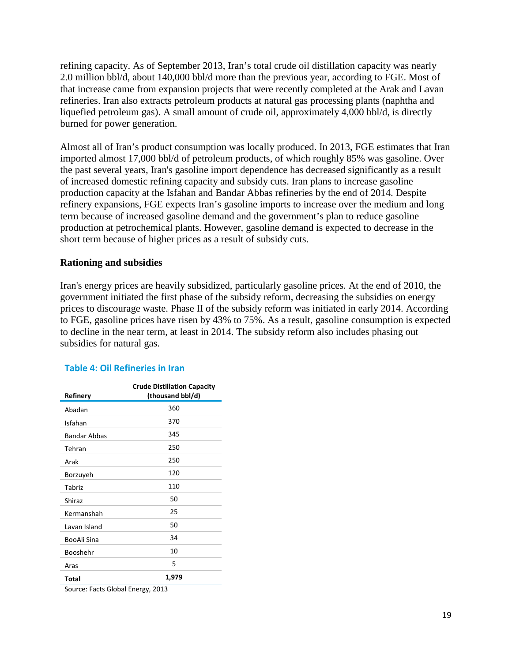refining capacity. As of September 2013, Iran's total crude oil distillation capacity was nearly 2.0 million bbl/d, about 140,000 bbl/d more than the previous year, according to FGE. Most of that increase came from expansion projects that were recently completed at the Arak and Lavan refineries. Iran also extracts petroleum products at natural gas processing plants (naphtha and liquefied petroleum gas). A small amount of crude oil, approximately 4,000 bbl/d, is directly burned for power generation.

Almost all of Iran's product consumption was locally produced. In 2013, FGE estimates that Iran imported almost 17,000 bbl/d of petroleum products, of which roughly 85% was gasoline. Over the past several years, Iran's gasoline import dependence has decreased significantly as a result of increased domestic refining capacity and subsidy cuts. Iran plans to increase gasoline production capacity at the Isfahan and Bandar Abbas refineries by the end of 2014. Despite refinery expansions, FGE expects Iran's gasoline imports to increase over the medium and long term because of increased gasoline demand and the government's plan to reduce gasoline production at petrochemical plants. However, gasoline demand is expected to decrease in the short term because of higher prices as a result of subsidy cuts.

#### **Rationing and subsidies**

Iran's energy prices are heavily subsidized, particularly gasoline prices. At the end of 2010, the government initiated the first phase of the subsidy reform, decreasing the subsidies on energy prices to discourage waste. Phase II of the subsidy reform was initiated in early 2014. According to FGE, gasoline prices have risen by 43% to 75%. As a result, gasoline consumption is expected to decline in the near term, at least in 2014. The subsidy reform also includes phasing out subsidies for natural gas.

|  | <b>Table 4: Oil Refineries in Iran</b> |  |
|--|----------------------------------------|--|
|  |                                        |  |

| Refinery                          | <b>Crude Distillation Capacity</b><br>(thousand bbl/d) |  |
|-----------------------------------|--------------------------------------------------------|--|
| Abadan                            | 360                                                    |  |
| Isfahan                           | 370                                                    |  |
| <b>Bandar Abbas</b>               | 345                                                    |  |
| Tehran                            | 250                                                    |  |
| Arak                              | 250                                                    |  |
| Borzuyeh                          | 120                                                    |  |
| Tabriz                            | 110                                                    |  |
| Shiraz                            | 50                                                     |  |
| Kermanshah                        | 25                                                     |  |
| Lavan Island                      | 50                                                     |  |
| BooAli Sina                       | 34                                                     |  |
| Booshehr                          | 10                                                     |  |
| Aras                              | 5                                                      |  |
| Total                             | 1,979                                                  |  |
| Source: Facts Global Energy, 2013 |                                                        |  |

19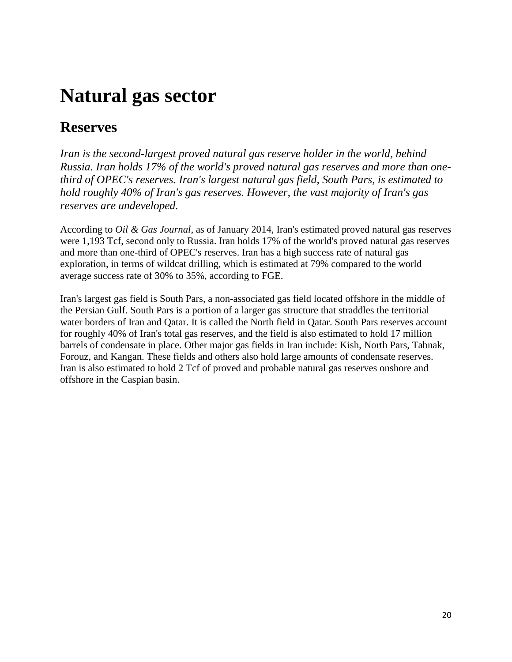# **Natural gas sector**

### **Reserves**

*Iran is the second-largest proved natural gas reserve holder in the world, behind Russia. Iran holds 17% of the world's proved natural gas reserves and more than onethird of OPEC's reserves. Iran's largest natural gas field, South Pars, is estimated to hold roughly 40% of Iran's gas reserves. However, the vast majority of Iran's gas reserves are undeveloped.*

According to *Oil & Gas Journal*, as of January 2014, Iran's estimated proved natural gas reserves were 1,193 Tcf, second only to Russia. Iran holds 17% of the world's proved natural gas reserves and more than one-third of OPEC's reserves. Iran has a high success rate of natural gas exploration, in terms of wildcat drilling, which is estimated at 79% compared to the world average success rate of 30% to 35%, according to FGE.

Iran's largest gas field is South Pars, a non-associated gas field located offshore in the middle of the Persian Gulf. South Pars is a portion of a larger gas structure that straddles the territorial water borders of Iran and Qatar. It is called the North field in Qatar. South Pars reserves account for roughly 40% of Iran's total gas reserves, and the field is also estimated to hold 17 million barrels of condensate in place. Other major gas fields in Iran include: Kish, North Pars, Tabnak, Forouz, and Kangan. These fields and others also hold large amounts of condensate reserves. Iran is also estimated to hold 2 Tcf of proved and probable natural gas reserves onshore and offshore in the Caspian basin.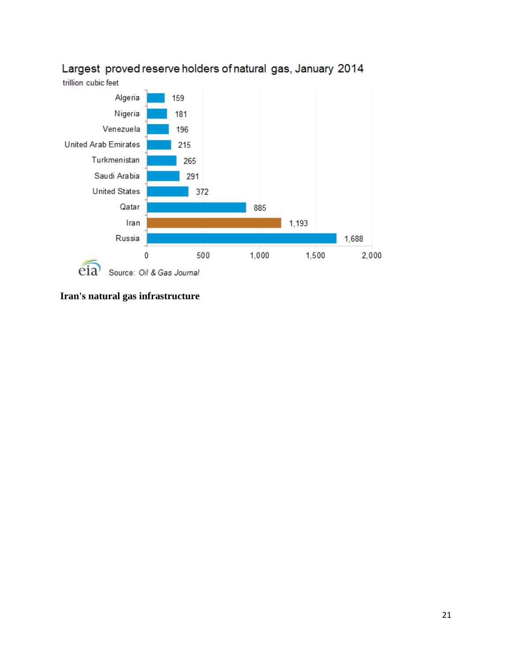

### Largest proved reserve holders of natural gas, January 2014

**Iran's natural gas infrastructure**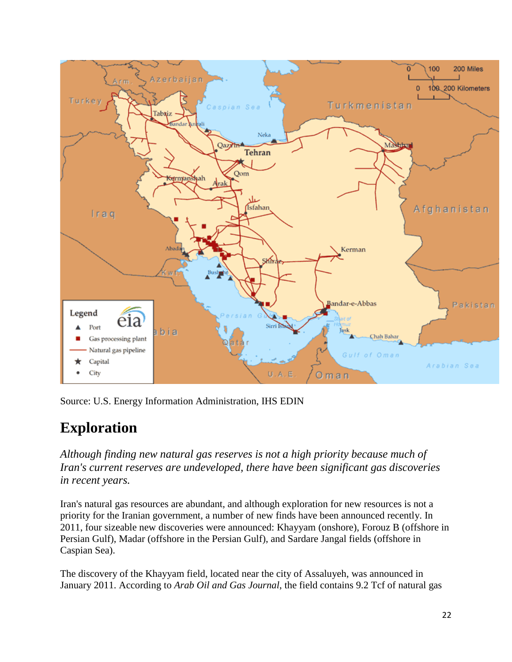

Source: U.S. Energy Information Administration, IHS EDIN

### **Exploration**

*Although finding new natural gas reserves is not a high priority because much of Iran's current reserves are undeveloped, there have been significant gas discoveries in recent years.*

Iran's natural gas resources are abundant, and although exploration for new resources is not a priority for the Iranian government, a number of new finds have been announced recently. In 2011, four sizeable new discoveries were announced: Khayyam (onshore), Forouz B (offshore in Persian Gulf), Madar (offshore in the Persian Gulf), and Sardare Jangal fields (offshore in Caspian Sea).

The discovery of the Khayyam field, located near the city of Assaluyeh, was announced in January 2011. According to *Arab Oil and Gas Journal*, the field contains 9.2 Tcf of natural gas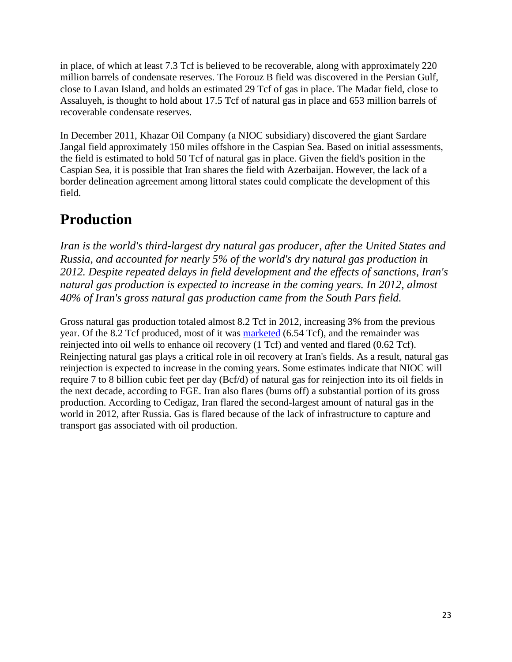in place, of which at least 7.3 Tcf is believed to be recoverable, along with approximately 220 million barrels of condensate reserves. The Forouz B field was discovered in the Persian Gulf, close to Lavan Island, and holds an estimated 29 Tcf of gas in place. The Madar field, close to Assaluyeh, is thought to hold about 17.5 Tcf of natural gas in place and 653 million barrels of recoverable condensate reserves.

In December 2011, Khazar Oil Company (a NIOC subsidiary) discovered the giant Sardare Jangal field approximately 150 miles offshore in the Caspian Sea. Based on initial assessments, the field is estimated to hold 50 Tcf of natural gas in place. Given the field's position in the Caspian Sea, it is possible that Iran shares the field with Azerbaijan. However, the lack of a border delineation agreement among littoral states could complicate the development of this field.

### **Production**

*Iran is the world's third-largest dry natural gas producer, after the United States and Russia, and accounted for nearly 5% of the world's dry natural gas production in 2012. Despite repeated delays in field development and the effects of sanctions, Iran's natural gas production is expected to increase in the coming years. In 2012, almost 40% of Iran's gross natural gas production came from the South Pars field.*

Gross natural gas production totaled almost 8.2 Tcf in 2012, increasing 3% from the previous year. Of the 8.2 Tcf produced, most of it was **marketed** (6.54 Tcf), and the remainder was reinjected into oil wells to enhance oil recovery (1 Tcf) and vented and flared (0.62 Tcf). Reinjecting natural gas plays a critical role in oil recovery at Iran's fields. As a result, natural gas reinjection is expected to increase in the coming years. Some estimates indicate that NIOC will require 7 to 8 billion cubic feet per day (Bcf/d) of natural gas for reinjection into its oil fields in the next decade, according to FGE. Iran also flares (burns off) a substantial portion of its gross production. According to Cedigaz, Iran flared the second-largest amount of natural gas in the world in 2012, after Russia. Gas is flared because of the lack of infrastructure to capture and transport gas associated with oil production.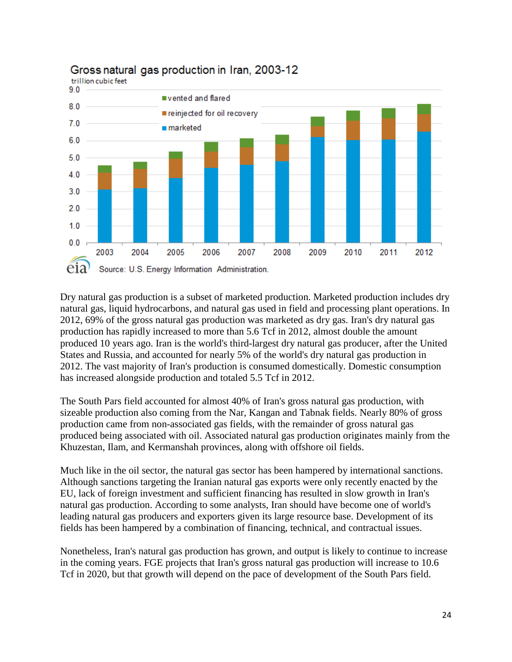

### Gross natural gas production in Iran, 2003-12

Dry natural gas production is a subset of marketed production. Marketed production includes dry natural gas, liquid hydrocarbons, and natural gas used in field and processing plant operations. In 2012, 69% of the gross natural gas production was marketed as dry gas. Iran's dry natural gas production has rapidly increased to more than 5.6 Tcf in 2012, almost double the amount produced 10 years ago. Iran is the world's third-largest dry natural gas producer, after the United States and Russia, and accounted for nearly 5% of the world's dry natural gas production in 2012. The vast majority of Iran's production is consumed domestically. Domestic consumption has increased alongside production and totaled 5.5 Tcf in 2012.

The South Pars field accounted for almost 40% of Iran's gross natural gas production, with sizeable production also coming from the Nar, Kangan and Tabnak fields. Nearly 80% of gross production came from non-associated gas fields, with the remainder of gross natural gas produced being associated with oil. Associated natural gas production originates mainly from the Khuzestan, Ilam, and Kermanshah provinces, along with offshore oil fields.

Much like in the oil sector, the natural gas sector has been hampered by international sanctions. Although sanctions targeting the Iranian natural gas exports were only recently enacted by the EU, lack of foreign investment and sufficient financing has resulted in slow growth in Iran's natural gas production. According to some analysts, Iran should have become one of world's leading natural gas producers and exporters given its large resource base. Development of its fields has been hampered by a combination of financing, technical, and contractual issues.

Nonetheless, Iran's natural gas production has grown, and output is likely to continue to increase in the coming years. FGE projects that Iran's gross natural gas production will increase to 10.6 Tcf in 2020, but that growth will depend on the pace of development of the South Pars field.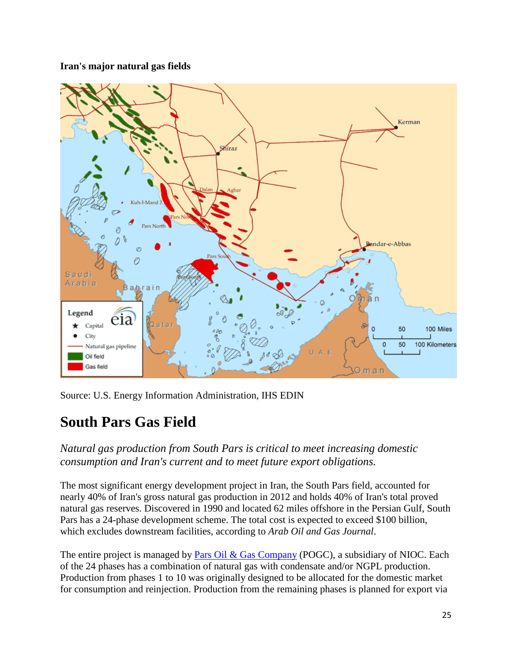#### **Iran's major natural gas fields**



Source: U.S. Energy Information Administration, IHS EDIN

### **South Pars Gas Field**

*Natural gas production from South Pars is critical to meet increasing domestic consumption and Iran's current and to meet future export obligations.*

The most significant energy development project in Iran, the South Pars field, accounted for nearly 40% of Iran's gross natural gas production in 2012 and holds 40% of Iran's total proved natural gas reserves. Discovered in 1990 and located 62 miles offshore in the Persian Gulf, South Pars has a 24-phase development scheme. The total cost is expected to exceed \$100 billion, which excludes downstream facilities, according to *Arab Oil and Gas Journal*.

The entire project is managed by [Pars Oil & Gas Company](http://www.pogc.ir/tabid/112/Default.aspx) (POGC), a subsidiary of NIOC. Each of the 24 phases has a combination of natural gas with condensate and/or NGPL production. Production from phases 1 to 10 was originally designed to be allocated for the domestic market for consumption and reinjection. Production from the remaining phases is planned for export via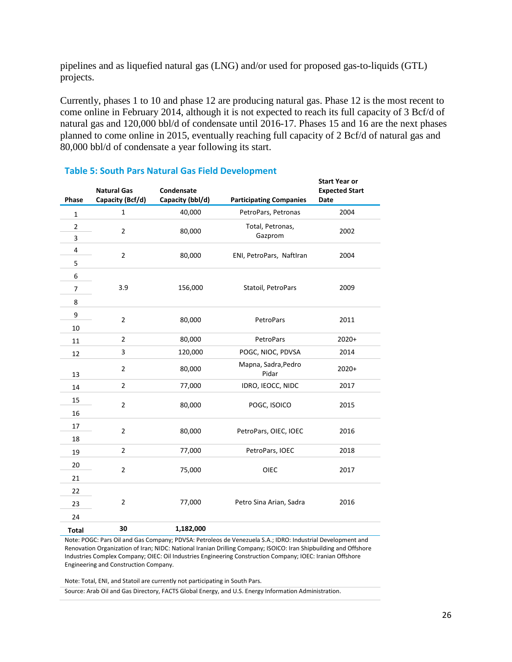pipelines and as liquefied natural gas (LNG) and/or used for proposed gas-to-liquids (GTL) projects.

Currently, phases 1 to 10 and phase 12 are producing natural gas. Phase 12 is the most recent to come online in February 2014, although it is not expected to reach its full capacity of 3 Bcf/d of natural gas and 120,000 bbl/d of condensate until 2016-17. Phases 15 and 16 are the next phases planned to come online in 2015, eventually reaching full capacity of 2 Bcf/d of natural gas and 80,000 bbl/d of condensate a year following its start.

| Phase          | <b>Natural Gas</b><br>Capacity (Bcf/d) | Condensate<br>Capacity (bbl/d) | <b>Participating Companies</b> | <b>Start Year or</b><br><b>Expected Start</b><br><b>Date</b> |
|----------------|----------------------------------------|--------------------------------|--------------------------------|--------------------------------------------------------------|
| $\mathbf{1}$   | $\mathbf{1}$                           | 40,000                         | PetroPars, Petronas            | 2004                                                         |
| $\overline{2}$ | $\overline{2}$                         | 80,000                         | Total, Petronas,               | 2002                                                         |
| 3              |                                        |                                | Gazprom                        |                                                              |
| 4              | $\overline{2}$                         | 80,000                         | ENI, PetroPars, NaftIran       | 2004                                                         |
| 5              |                                        |                                |                                |                                                              |
| 6              |                                        |                                |                                |                                                              |
| $\overline{7}$ | 3.9                                    | 156,000                        | Statoil, PetroPars             | 2009                                                         |
| 8              |                                        |                                |                                |                                                              |
| 9              | $\overline{2}$                         | 80,000                         | PetroPars                      | 2011                                                         |
| 10             |                                        |                                |                                |                                                              |
| 11             | $\overline{2}$                         | 80,000                         | PetroPars                      | $2020+$                                                      |
| 12             | 3                                      | 120,000                        | POGC, NIOC, PDVSA              | 2014                                                         |
| 13             | $\overline{2}$                         | 80,000                         | Mapna, Sadra, Pedro<br>Pidar   | $2020+$                                                      |
| 14             | $\overline{2}$                         | 77,000                         | IDRO, IEOCC, NIDC              | 2017                                                         |
| 15             | $\overline{2}$                         | 80,000                         | POGC, ISOICO                   | 2015                                                         |
| 16             |                                        |                                |                                |                                                              |
| 17             | $\overline{2}$                         | 80,000                         | PetroPars, OIEC, IOEC          | 2016                                                         |
| 18             |                                        |                                |                                |                                                              |
| 19             | $\overline{\mathbf{c}}$                | 77,000                         | PetroPars, IOEC                | 2018                                                         |
| 20             | $\overline{2}$                         | 75,000                         | <b>OIEC</b>                    | 2017                                                         |
| 21             |                                        |                                |                                |                                                              |
| 22             |                                        |                                |                                |                                                              |
| 23             | $\overline{2}$                         | 77,000                         | Petro Sina Arian, Sadra        | 2016                                                         |
| 24             |                                        |                                |                                |                                                              |
| <b>Total</b>   | 30                                     | 1,182,000                      |                                |                                                              |

#### **Table 5: South Pars Natural Gas Field Development**

Note: POGC: Pars Oil and Gas Company; PDVSA: Petroleos de Venezuela S.A.; IDRO: Industrial Development and Renovation Organization of Iran; NIDC: National Iranian Drilling Company; ISOICO: Iran Shipbuilding and Offshore Industries Complex Company; OIEC: Oil Industries Engineering Construction Company; IOEC: Iranian Offshore Engineering and Construction Company.

Note: Total, ENI, and Statoil are currently not participating in South Pars.

Source: Arab Oil and Gas Directory, FACTS Global Energy, and U.S. Energy Information Administration.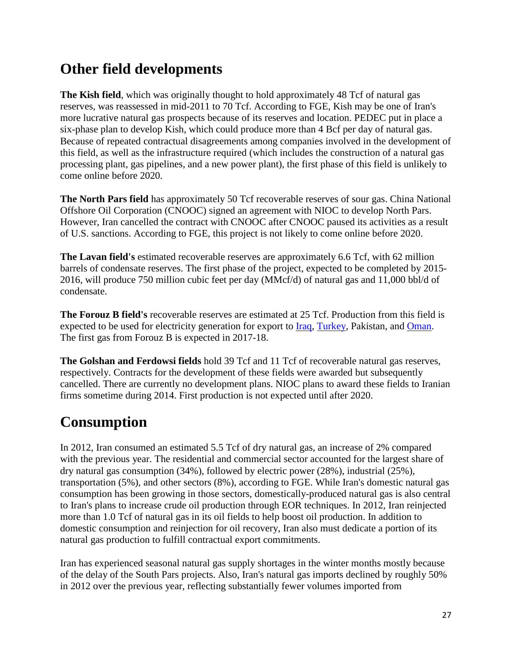### **Other field developments**

**The Kish field**, which was originally thought to hold approximately 48 Tcf of natural gas reserves, was reassessed in mid-2011 to 70 Tcf. According to FGE, Kish may be one of Iran's more lucrative natural gas prospects because of its reserves and location. PEDEC put in place a six-phase plan to develop Kish, which could produce more than 4 Bcf per day of natural gas. Because of repeated contractual disagreements among companies involved in the development of this field, as well as the infrastructure required (which includes the construction of a natural gas processing plant, gas pipelines, and a new power plant), the first phase of this field is unlikely to come online before 2020.

**The North Pars field** has approximately 50 Tcf recoverable reserves of sour gas. China National Offshore Oil Corporation (CNOOC) signed an agreement with NIOC to develop North Pars. However, Iran cancelled the contract with CNOOC after CNOOC paused its activities as a result of U.S. sanctions. According to FGE, this project is not likely to come online before 2020.

The Lavan field's estimated recoverable reserves are approximately 6.6 Tcf, with 62 million barrels of condensate reserves. The first phase of the project, expected to be completed by 2015- 2016, will produce 750 million cubic feet per day (MMcf/d) of natural gas and 11,000 bbl/d of condensate.

**The Forouz B field's** recoverable reserves are estimated at 25 Tcf. Production from this field is expected to be used for electricity generation for export to [Iraq,](http://wwwdev.eia.gov/countries/cab.cfm?fips=IZ) [Turkey,](http://wwwdev.eia.gov/countries/cab.cfm?fips=TU) Pakistan, and [Oman.](http://wwwdev.eia.gov/countries/cab.cfm?fips=MU) The first gas from Forouz B is expected in 2017-18.

**The Golshan and Ferdowsi fields** hold 39 Tcf and 11 Tcf of recoverable natural gas reserves, respectively. Contracts for the development of these fields were awarded but subsequently cancelled. There are currently no development plans. NIOC plans to award these fields to Iranian firms sometime during 2014. First production is not expected until after 2020.

### **Consumption**

In 2012, Iran consumed an estimated 5.5 Tcf of dry natural gas, an increase of 2% compared with the previous year. The residential and commercial sector accounted for the largest share of dry natural gas consumption (34%), followed by electric power (28%), industrial (25%), transportation (5%), and other sectors (8%), according to FGE. While Iran's domestic natural gas consumption has been growing in those sectors, domestically-produced natural gas is also central to Iran's plans to increase crude oil production through EOR techniques. In 2012, Iran reinjected more than 1.0 Tcf of natural gas in its oil fields to help boost oil production. In addition to domestic consumption and reinjection for oil recovery, Iran also must dedicate a portion of its natural gas production to fulfill contractual export commitments.

Iran has experienced seasonal natural gas supply shortages in the winter months mostly because of the delay of the South Pars projects. Also, Iran's natural gas imports declined by roughly 50% in 2012 over the previous year, reflecting substantially fewer volumes imported from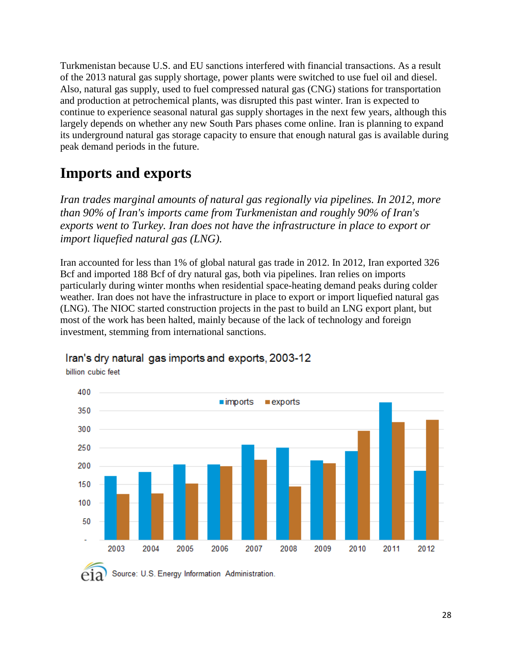Turkmenistan because U.S. and EU sanctions interfered with financial transactions. As a result of the 2013 natural gas supply shortage, power plants were switched to use fuel oil and diesel. Also, natural gas supply, used to fuel compressed natural gas (CNG) stations for transportation and production at petrochemical plants, was disrupted this past winter. Iran is expected to continue to experience seasonal natural gas supply shortages in the next few years, although this largely depends on whether any new South Pars phases come online. Iran is planning to expand its underground natural gas storage capacity to ensure that enough natural gas is available during peak demand periods in the future.

### **Imports and exports**

*Iran trades marginal amounts of natural gas regionally via pipelines. In 2012, more than 90% of Iran's imports came from Turkmenistan and roughly 90% of Iran's exports went to Turkey. Iran does not have the infrastructure in place to export or import liquefied natural gas (LNG).*

Iran accounted for less than 1% of global natural gas trade in 2012. In 2012, Iran exported 326 Bcf and imported 188 Bcf of dry natural gas, both via pipelines. Iran relies on imports particularly during winter months when residential space-heating demand peaks during colder weather. Iran does not have the infrastructure in place to export or import liquefied natural gas (LNG). The NIOC started construction projects in the past to build an LNG export plant, but most of the work has been halted, mainly because of the lack of technology and foreign investment, stemming from international sanctions.



### Iran's dry natural gas imports and exports, 2003-12

billion cubic feet

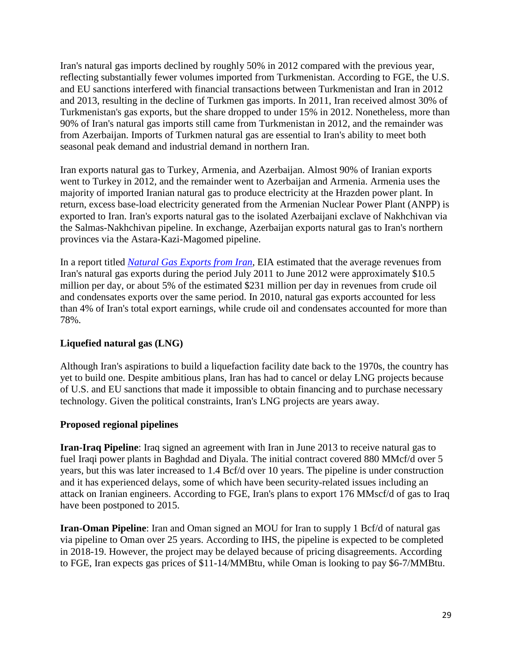Iran's natural gas imports declined by roughly 50% in 2012 compared with the previous year, reflecting substantially fewer volumes imported from Turkmenistan. According to FGE, the U.S. and EU sanctions interfered with financial transactions between Turkmenistan and Iran in 2012 and 2013, resulting in the decline of Turkmen gas imports. In 2011, Iran received almost 30% of Turkmenistan's gas exports, but the share dropped to under 15% in 2012. Nonetheless, more than 90% of Iran's natural gas imports still came from Turkmenistan in 2012, and the remainder was from Azerbaijan. Imports of Turkmen natural gas are essential to Iran's ability to meet both seasonal peak demand and industrial demand in northern Iran.

Iran exports natural gas to Turkey, Armenia, and Azerbaijan. Almost 90% of Iranian exports went to Turkey in 2012, and the remainder went to Azerbaijan and Armenia. Armenia uses the majority of imported Iranian natural gas to produce electricity at the Hrazden power plant. In return, excess base-load electricity generated from the Armenian Nuclear Power Plant (ANPP) is exported to Iran. Iran's exports natural gas to the isolated Azerbaijani exclave of Nakhchivan via the Salmas-Nakhchivan pipeline. In exchange, Azerbaijan exports natural gas to Iran's northern provinces via the Astara-Kazi-Magomed pipeline.

In a report titled *[Natural Gas Exports from Iran](http://wwwdev.eia.gov/analysis/requests/ngexports_iran/pdf/full.pdf)*, EIA estimated that the average revenues from Iran's natural gas exports during the period July 2011 to June 2012 were approximately \$10.5 million per day, or about 5% of the estimated \$231 million per day in revenues from crude oil and condensates exports over the same period. In 2010, natural gas exports accounted for less than 4% of Iran's total export earnings, while crude oil and condensates accounted for more than 78%.

#### **Liquefied natural gas (LNG)**

Although Iran's aspirations to build a liquefaction facility date back to the 1970s, the country has yet to build one. Despite ambitious plans, Iran has had to cancel or delay LNG projects because of U.S. and EU sanctions that made it impossible to obtain financing and to purchase necessary technology. Given the political constraints, Iran's LNG projects are years away.

#### **Proposed regional pipelines**

**Iran-Iraq Pipeline**: Iraq signed an agreement with Iran in June 2013 to receive natural gas to fuel Iraqi power plants in Baghdad and Diyala. The initial contract covered 880 MMcf/d over 5 years, but this was later increased to 1.4 Bcf/d over 10 years. The pipeline is under construction and it has experienced delays, some of which have been security-related issues including an attack on Iranian engineers. According to FGE, Iran's plans to export 176 MMscf/d of gas to Iraq have been postponed to 2015.

**Iran-Oman Pipeline**: Iran and Oman signed an MOU for Iran to supply 1 Bcf/d of natural gas via pipeline to Oman over 25 years. According to IHS, the pipeline is expected to be completed in 2018-19. However, the project may be delayed because of pricing disagreements. According to FGE, Iran expects gas prices of \$11-14/MMBtu, while Oman is looking to pay \$6-7/MMBtu.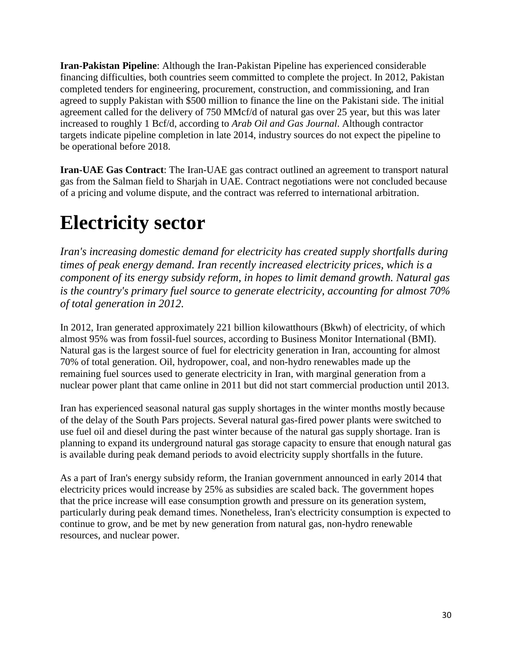**Iran-Pakistan Pipeline**: Although the Iran-Pakistan Pipeline has experienced considerable financing difficulties, both countries seem committed to complete the project. In 2012, Pakistan completed tenders for engineering, procurement, construction, and commissioning, and Iran agreed to supply Pakistan with \$500 million to finance the line on the Pakistani side. The initial agreement called for the delivery of 750 MMcf/d of natural gas over 25 year, but this was later increased to roughly 1 Bcf/d, according to *Arab Oil and Gas Journal*. Although contractor targets indicate pipeline completion in late 2014, industry sources do not expect the pipeline to be operational before 2018.

**Iran-UAE Gas Contract**: The Iran-UAE gas contract outlined an agreement to transport natural gas from the Salman field to Sharjah in UAE. Contract negotiations were not concluded because of a pricing and volume dispute, and the contract was referred to international arbitration.

# **Electricity sector**

*Iran's increasing domestic demand for electricity has created supply shortfalls during times of peak energy demand. Iran recently increased electricity prices, which is a component of its energy subsidy reform, in hopes to limit demand growth. Natural gas is the country's primary fuel source to generate electricity, accounting for almost 70% of total generation in 2012.*

In 2012, Iran generated approximately 221 billion kilowatthours (Bkwh) of electricity, of which almost 95% was from fossil-fuel sources, according to Business Monitor International (BMI). Natural gas is the largest source of fuel for electricity generation in Iran, accounting for almost 70% of total generation. Oil, hydropower, coal, and non-hydro renewables made up the remaining fuel sources used to generate electricity in Iran, with marginal generation from a nuclear power plant that came online in 2011 but did not start commercial production until 2013.

Iran has experienced seasonal natural gas supply shortages in the winter months mostly because of the delay of the South Pars projects. Several natural gas-fired power plants were switched to use fuel oil and diesel during the past winter because of the natural gas supply shortage. Iran is planning to expand its underground natural gas storage capacity to ensure that enough natural gas is available during peak demand periods to avoid electricity supply shortfalls in the future.

As a part of Iran's energy subsidy reform, the Iranian government announced in early 2014 that electricity prices would increase by 25% as subsidies are scaled back. The government hopes that the price increase will ease consumption growth and pressure on its generation system, particularly during peak demand times. Nonetheless, Iran's electricity consumption is expected to continue to grow, and be met by new generation from natural gas, non-hydro renewable resources, and nuclear power.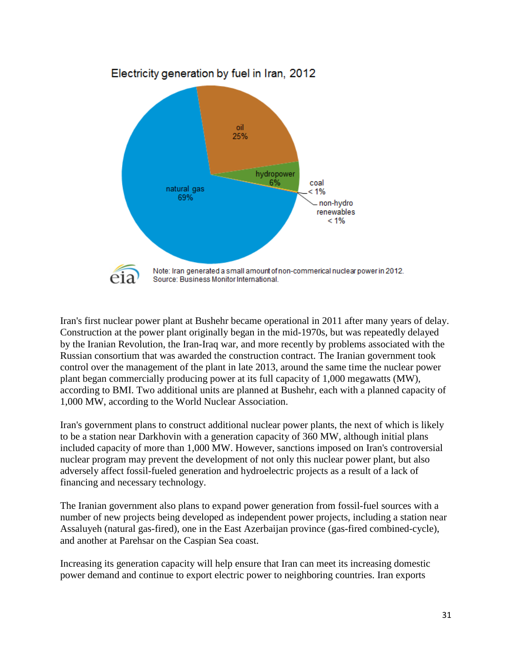

Iran's first nuclear power plant at Bushehr became operational in 2011 after many years of delay. Construction at the power plant originally began in the mid-1970s, but was repeatedly delayed by the Iranian Revolution, the Iran-Iraq war, and more recently by problems associated with the Russian consortium that was awarded the construction contract. The Iranian government took control over the management of the plant in late 2013, around the same time the nuclear power plant began commercially producing power at its full capacity of 1,000 megawatts (MW), according to BMI. Two additional units are planned at Bushehr, each with a planned capacity of 1,000 MW, according to the World Nuclear Association.

Iran's government plans to construct additional nuclear power plants, the next of which is likely to be a station near Darkhovin with a generation capacity of 360 MW, although initial plans included capacity of more than 1,000 MW. However, sanctions imposed on Iran's controversial nuclear program may prevent the development of not only this nuclear power plant, but also adversely affect fossil-fueled generation and hydroelectric projects as a result of a lack of financing and necessary technology.

The Iranian government also plans to expand power generation from fossil-fuel sources with a number of new projects being developed as independent power projects, including a station near Assaluyeh (natural gas-fired), one in the East Azerbaijan province (gas-fired combined-cycle), and another at Parehsar on the Caspian Sea coast.

Increasing its generation capacity will help ensure that Iran can meet its increasing domestic power demand and continue to export electric power to neighboring countries. Iran exports